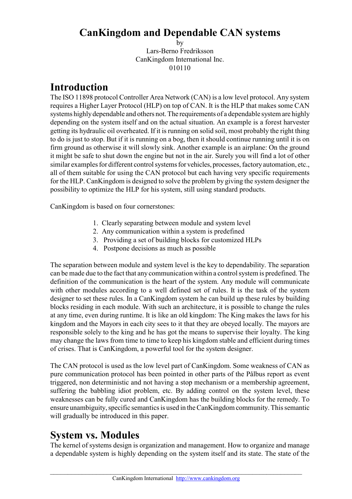### **CanKingdom and Dependable CAN systems**

by Lars-Berno Fredriksson CanKingdom International Inc. 010110

## **Introduction**

The ISO 11898 protocol Controller Area Network (CAN) is a low level protocol. Any system requires a Higher Layer Protocol (HLP) on top of CAN. It is the HLP that makes some CAN systems highly dependable and others not. The requirements of a dependable system are highly depending on the system itself and on the actual situation. An example is a forest harvester getting its hydraulic oil overheated. If it is running on solid soil, most probably the right thing to do is just to stop. But if it is running on a bog, then it should continue running until it is on firm ground as otherwise it will slowly sink. Another example is an airplane: On the ground it might be safe to shut down the engine but not in the air. Surely you will find a lot of other similar examples for different control systems for vehicles, processes, factory automation, etc., all of them suitable for using the CAN protocol but each having very specific requirements for the HLP. CanKingdom is designed to solve the problem by giving the system designer the possibility to optimize the HLP for his system, still using standard products.

CanKingdom is based on four cornerstones:

- 1. Clearly separating between module and system level
- 2. Any communication within a system is predefined
- 3. Providing a set of building blocks for customized HLPs
- 4. Postpone decisions as much as possible

The separation between module and system level is the key to dependability. The separation can be made due to the fact that any communication within a control system is predefined. The definition of the communication is the heart of the system. Any module will communicate with other modules according to a well defined set of rules. It is the task of the system designer to set these rules. In a CanKingdom system he can build up these rules by building blocks residing in each module. With such an architecture, it is possible to change the rules at any time, even during runtime. It is like an old kingdom: The King makes the laws for his kingdom and the Mayors in each city sees to it that they are obeyed locally. The mayors are responsible solely to the king and he has got the means to supervise their loyalty. The king may change the laws from time to time to keep his kingdom stable and efficient during times of crises. That is CanKingdom, a powerful tool for the system designer.

The CAN protocol is used as the low level part of CanKingdom. Some weakness of CAN as pure communication protocol has been pointed in other parts of the Pålbus report as event triggered, non deterministic and not having a stop mechanism or a membership agreement, suffering the babbling idiot problem, etc. By adding control on the system level, these weaknesses can be fully cured and CanKingdom has the building blocks for the remedy. To ensure unambiguity, specific semantics is used in the CanKingdom community. This semantic will gradually be introduced in this paper.

## **System vs. Modules**

The kernel of systems design is organization and management. How to organize and manage a dependable system is highly depending on the system itself and its state. The state of the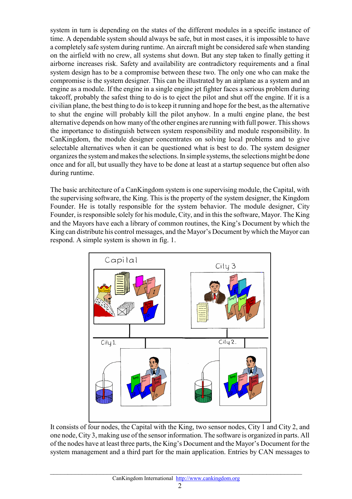system in turn is depending on the states of the different modules in a specific instance of time. A dependable system should always be safe, but in most cases, it is impossible to have a completely safe system during runtime. An aircraft might be considered safe when standing on the airfield with no crew, all systems shut down. But any step taken to finally getting it airborne increases risk. Safety and availability are contradictory requirements and a final system design has to be a compromise between these two. The only one who can make the compromise is the system designer. This can be illustrated by an airplane as a system and an engine as a module. If the engine in a single engine jet fighter faces a serious problem during takeoff, probably the safest thing to do is to eject the pilot and shut off the engine. If it is a civilian plane, the best thing to do is to keep it running and hope for the best, as the alternative to shut the engine will probably kill the pilot anyhow. In a multi engine plane, the best alternative depends on how many of the other engines are running with full power. This shows the importance to distinguish between system responsibility and module responsibility. In CanKingdom, the module designer concentrates on solving local problems and to give selectable alternatives when it can be questioned what is best to do. The system designer organizes the system and makes the selections. In simple systems, the selections might be done once and for all, but usually they have to be done at least at a startup sequence but often also during runtime.

The basic architecture of a CanKingdom system is one supervising module, the Capital, with the supervising software, the King. This is the property of the system designer, the Kingdom Founder. He is totally responsible for the system behavior. The module designer, City Founder, is responsible solely for his module, City, and in this the software, Mayor. The King and the Mayors have each a library of common routines, the King's Document by which the King can distribute his control messages, and the Mayor's Document by which the Mayor can respond. A simple system is shown in fig. 1.



It consists of four nodes, the Capital with the King, two sensor nodes, City 1 and City 2, and one node, City 3, making use of the sensor information. The software is organized in parts. All of the nodes have at least three parts, the King's Document and the Mayor's Document for the system management and a third part for the main application. Entries by CAN messages to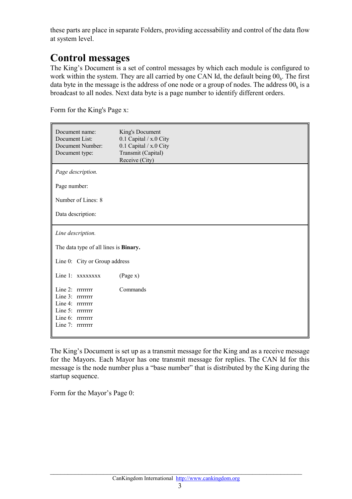these parts are place in separate Folders, providing accessability and control of the data flow at system level.

# **Control messages**

The King's Document is a set of control messages by which each module is configured to work within the system. They are all carried by one CAN Id, the default being  $00<sub>h</sub>$ . The first data byte in the message is the address of one node or a group of nodes. The address  $00<sub>h</sub>$  is a broadcast to all nodes. Next data byte is a page number to identify different orders.

Form for the King's Page x:

| Document name:<br>Document List:<br>Document Number:<br>Document type:                                                 | King's Document<br>0.1 Capital / x.0 City<br>0.1 Capital / x.0 City<br>Transmit (Capital)<br>Receive (City) |  |  |
|------------------------------------------------------------------------------------------------------------------------|-------------------------------------------------------------------------------------------------------------|--|--|
| Page description.                                                                                                      |                                                                                                             |  |  |
| Page number:                                                                                                           |                                                                                                             |  |  |
| Number of Lines: 8                                                                                                     |                                                                                                             |  |  |
| Data description:                                                                                                      |                                                                                                             |  |  |
| Line description.                                                                                                      |                                                                                                             |  |  |
| The data type of all lines is <b>Binary.</b>                                                                           |                                                                                                             |  |  |
| Line 0: City or Group address                                                                                          |                                                                                                             |  |  |
| Line 1: XXXXXXX                                                                                                        | (Page x)                                                                                                    |  |  |
| Line 2: rrrrrrrr<br>Line 3: rrrrrrrr<br>Line 4: rrrrrrrr<br>Line 5: rrrrrrrr<br>Line 6: rrrrrrrr<br>Line $7:$ rrrrrrrr | Commands                                                                                                    |  |  |

The King's Document is set up as a transmit message for the King and as a receive message for the Mayors. Each Mayor has one transmit message for replies. The CAN Id for this message is the node number plus a "base number" that is distributed by the King during the startup sequence.

Form for the Mayor's Page 0: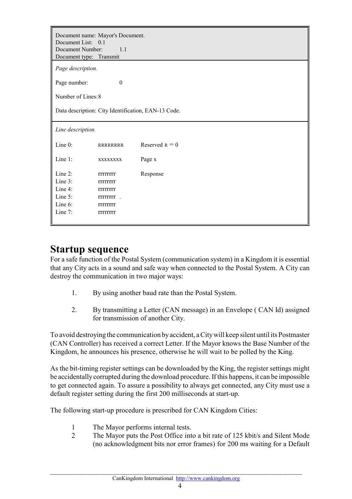| Document name: Mayor's Document.<br>Document List: 0.1<br>Document Number:<br>Document type: Transmit | 1.1                                                                                                                                  |                  |  |
|-------------------------------------------------------------------------------------------------------|--------------------------------------------------------------------------------------------------------------------------------------|------------------|--|
| Page description.                                                                                     |                                                                                                                                      |                  |  |
| $\boldsymbol{0}$<br>Page number:                                                                      |                                                                                                                                      |                  |  |
| Number of Lines: 8                                                                                    |                                                                                                                                      |                  |  |
| Data description: City Identification, EAN-13 Code.                                                   |                                                                                                                                      |                  |  |
| Line description.                                                                                     |                                                                                                                                      |                  |  |
| Line 0:                                                                                               | <b>RRRRRRRR</b>                                                                                                                      | Reserved $R = 0$ |  |
| Line 1:                                                                                               | XXXXXXXX                                                                                                                             | Page x           |  |
| Line 2:<br>Line 3:<br>Line 4:<br>Line 5:<br>Line 6:<br>Line 7:                                        | <b>TITTITITITITITI</b><br>rrrrrrrr<br><b>TITTITITITITI</b><br><b>TITTITITITITITI</b><br><b>TITTITITITITI</b><br><b>TITTITITITITI</b> | Response         |  |

### **Startup sequence**

For a safe function of the Postal System (communication system) in a Kingdom it is essential that any City acts in a sound and safe way when connected to the Postal System. A City can destroy the communication in two major ways:

- 1. By using another baud rate than the Postal System.
- 2. By transmitting a Letter (CAN message) in an Envelope ( CAN Id) assigned for transmission of another City.

To avoid destroying the communication by accident, a City will keep silent until its Postmaster (CAN Controller) has received a correct Letter. If the Mayor knows the Base Number of the Kingdom, he announces his presence, otherwise he will wait to be polled by the King.

As the bit-timing register settings can be downloaded by the King, the register settings might be accidentally corrupted during the download procedure. If this happens, it can be impossible to get connected again. To assure a possibility to always get connected, any City must use a default register setting during the first 200 milliseconds at start-up.

The following start-up procedure is prescribed for CAN Kingdom Cities:

- 1 The Mayor performs internal tests.
- 2 The Mayor puts the Post Office into a bit rate of 125 kbit/s and Silent Mode (no acknowledgment bits nor error frames) for 200 ms waiting for a Default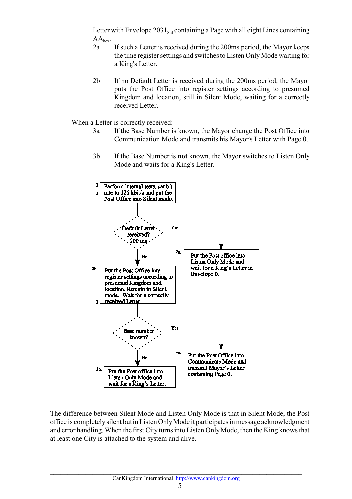Letter with Envelope  $2031<sub>Std</sub>$  containing a Page with all eight Lines containing  $AA<sub>hex</sub>$ .

- 2a If such a Letter is received during the 200ms period, the Mayor keeps the time register settings and switches to Listen Only Mode waiting for a King's Letter.
- 2b If no Default Letter is received during the 200ms period, the Mayor puts the Post Office into register settings according to presumed Kingdom and location, still in Silent Mode, waiting for a correctly received Letter.

When a Letter is correctly received:

- 3a If the Base Number is known, the Mayor change the Post Office into Communication Mode and transmits his Mayor's Letter with Page 0.
- 3b If the Base Number is **not** known, the Mayor switches to Listen Only Mode and waits for a King's Letter.



The difference between Silent Mode and Listen Only Mode is that in Silent Mode, the Post office is completely silent but in Listen Only Mode it participates in message acknowledgment and error handling. When the first City turns into Listen Only Mode, then the King knows that at least one City is attached to the system and alive.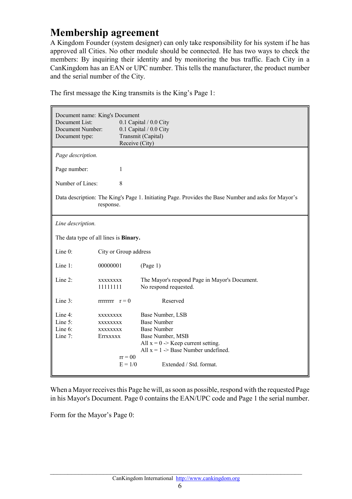## **Membership agreement**

A Kingdom Founder (system designer) can only take responsibility for his system if he has approved all Cities. No other module should be connected. He has two ways to check the members: By inquiring their identity and by monitoring the bus traffic. Each City in a CanKingdom has an EAN or UPC number. This tells the manufacturer, the product number and the serial number of the City.

|                   | Document name: King's Document               |                                                                                                     |  |
|-------------------|----------------------------------------------|-----------------------------------------------------------------------------------------------------|--|
| Document List:    |                                              | 0.1 Capital / 0.0 City                                                                              |  |
| Document Number:  |                                              | 0.1 Capital / 0.0 City                                                                              |  |
| Document type:    |                                              | Transmit (Capital)                                                                                  |  |
|                   | Receive (City)                               |                                                                                                     |  |
| Page description. |                                              |                                                                                                     |  |
| Page number:      | 1                                            |                                                                                                     |  |
| Number of Lines:  | 8                                            |                                                                                                     |  |
|                   | response.                                    | Data description: The King's Page 1. Initiating Page. Provides the Base Number and asks for Mayor's |  |
| Line description. |                                              |                                                                                                     |  |
|                   | The data type of all lines is <b>Binary.</b> |                                                                                                     |  |
| Line 0:           | City or Group address                        |                                                                                                     |  |
| Line 1:           | 00000001                                     | (Page 1)                                                                                            |  |
| Line 2:           | XXXXXXXX<br>11111111                         | The Mayor's respond Page in Mayor's Document.<br>No respond requested.                              |  |
| Line 3:           | $rrrrrrr = 0$                                | Reserved                                                                                            |  |
| Line $4$ :        | XXXXXXXX                                     | Base Number, LSB                                                                                    |  |
| Line 5:           | XXXXXXXX                                     | <b>Base Number</b>                                                                                  |  |
| Line $6$ :        | XXXXXXXX                                     | <b>Base Number</b>                                                                                  |  |
| Line 7:           | EITXXXXX                                     | Base Number, MSB                                                                                    |  |
|                   |                                              | All $x = 0$ > Keep current setting.                                                                 |  |
|                   |                                              | All $x = 1$ -> Base Number undefined.                                                               |  |
|                   | $rr = 00$                                    |                                                                                                     |  |
|                   | $E = 1/0$                                    | Extended / Std. format.                                                                             |  |

The first message the King transmits is the King's Page 1:

When a Mayor receives this Page he will, as soon as possible, respond with the requested Page in his Mayor's Document. Page 0 contains the EAN/UPC code and Page 1 the serial number.

Form for the Mayor's Page 0: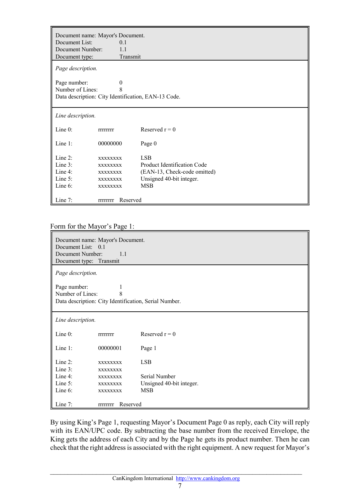|                   | Document name: Mayor's Document. |                                                     |  |
|-------------------|----------------------------------|-----------------------------------------------------|--|
| Document List:    | $\Omega$ 1                       |                                                     |  |
| Document Number:  | 11                               |                                                     |  |
| Document type:    | Transmit                         |                                                     |  |
| Page description. |                                  |                                                     |  |
| Page number:      | $\theta$                         |                                                     |  |
| Number of Lines:  | 8                                |                                                     |  |
|                   |                                  | Data description: City Identification, EAN-13 Code. |  |
|                   |                                  |                                                     |  |
| Line description. |                                  |                                                     |  |
| Line $0$ :        | <b>TITTITITITITI</b>             | Reserved $r = 0$                                    |  |
| Line $1$ :        | 00000000                         | Page 0                                              |  |
| Line 2:           | <b>XXXXXXXX</b>                  | <b>LSB</b>                                          |  |
| Line 3:           | <b>XXXXXXXX</b>                  | Product Identification Code                         |  |
| Line $4$ :        | <b>XXXXXXXX</b>                  | (EAN-13, Check-code omitted)                        |  |
| Line $5$ :        | <b>XXXXXXXX</b>                  | Unsigned 40-bit integer.                            |  |
| Line $6$ :        | <b>XXXXXXXX</b>                  | <b>MSB</b>                                          |  |
| Line $7$ :        | Reserved<br><b>TTTTTTTT</b>      |                                                     |  |

#### Form for the Mayor's Page 1:

| Document name: Mayor's Document.<br>Document List: 0.1<br>Document Number:<br>1.1<br>Document type: Transmit |                                    |                          |
|--------------------------------------------------------------------------------------------------------------|------------------------------------|--------------------------|
| Page description.                                                                                            |                                    |                          |
| Page number:<br>1<br>Number of Lines:<br>8<br>Data description: City Identification, Serial Number.          |                                    |                          |
| Line description.                                                                                            |                                    |                          |
| Line $0$ :                                                                                                   | <b>TITTITITITITITI</b>             | Reserved $r = 0$         |
| Line $1$ :                                                                                                   | 00000001                           | Page 1                   |
| Line $2$ :<br>Line 3:                                                                                        | <b>XXXXXXXX</b><br><b>XXXXXXXX</b> | <b>LSB</b>               |
| Line $4$ :                                                                                                   | <b>XXXXXXXX</b>                    | Serial Number            |
| Line 5:                                                                                                      | <b>XXXXXXXX</b>                    | Unsigned 40-bit integer. |
| Line 6:                                                                                                      | <b>XXXXXXXX</b>                    | <b>MSB</b>               |
| Line $7:$                                                                                                    | Reserved<br><b>TITTITITITITI</b>   |                          |

By using King's Page 1, requesting Mayor's Document Page 0 as reply, each City will reply with its EAN/UPC code. By subtracting the base number from the received Envelope, the King gets the address of each City and by the Page he gets its product number. Then he can check that the right address is associated with the right equipment. A new request for Mayor's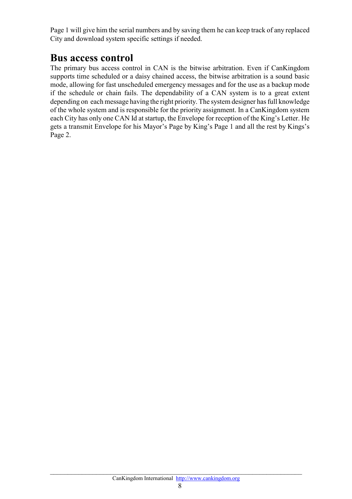Page 1 will give him the serial numbers and by saving them he can keep track of any replaced City and download system specific settings if needed.

### **Bus access control**

The primary bus access control in CAN is the bitwise arbitration. Even if CanKingdom supports time scheduled or a daisy chained access, the bitwise arbitration is a sound basic mode, allowing for fast unscheduled emergency messages and for the use as a backup mode if the schedule or chain fails. The dependability of a CAN system is to a great extent depending on each message having the right priority. The system designer has full knowledge of the whole system and is responsible for the priority assignment. In a CanKingdom system each City has only one CAN Id at startup, the Envelope for reception of the King's Letter. He gets a transmit Envelope for his Mayor's Page by King's Page 1 and all the rest by Kings's Page 2.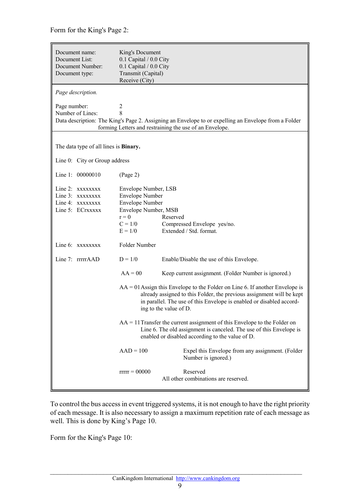Form for the King's Page 2:

| Document name:<br>Document List:<br>Document Number:<br>Document type:    | King's Document<br>0.1 Capital / 0.0 City<br>0.1 Capital / 0.0 City<br>Transmit (Capital)<br>Receive (City)                                                                                                                                               |                                                                                                                                                                                                        |  |
|---------------------------------------------------------------------------|-----------------------------------------------------------------------------------------------------------------------------------------------------------------------------------------------------------------------------------------------------------|--------------------------------------------------------------------------------------------------------------------------------------------------------------------------------------------------------|--|
| Page description.                                                         |                                                                                                                                                                                                                                                           |                                                                                                                                                                                                        |  |
| Page number:<br>Number of Lines:                                          | 2<br>8                                                                                                                                                                                                                                                    | Data description: The King's Page 2. Assigning an Envelope to or expelling an Envelope from a Folder<br>forming Letters and restraining the use of an Envelope.                                        |  |
| The data type of all lines is <b>Binary.</b>                              |                                                                                                                                                                                                                                                           |                                                                                                                                                                                                        |  |
| Line 0: City or Group address                                             |                                                                                                                                                                                                                                                           |                                                                                                                                                                                                        |  |
| Line 1: 00000010                                                          | (Page 2)                                                                                                                                                                                                                                                  |                                                                                                                                                                                                        |  |
| Line 2: XXXXXXX<br>Line 3: XXXXXXX<br>Line 4: XXXXXXX<br>Line 5: ECrxxxxx | Envelope Number, LSB<br><b>Envelope Number</b><br><b>Envelope Number</b><br>Envelope Number, MSB<br>$r = 0$<br>Reserved<br>$C = 1/0$<br>Compressed Envelope yes/no.<br>Extended / Std. format.<br>$E = 1/0$                                               |                                                                                                                                                                                                        |  |
| Line 6: XXXXXXX                                                           | Folder Number                                                                                                                                                                                                                                             |                                                                                                                                                                                                        |  |
| Line 7: rrrrrAAD                                                          | $D = 1/0$                                                                                                                                                                                                                                                 | Enable/Disable the use of this Envelope.                                                                                                                                                               |  |
|                                                                           | $AA = 00$                                                                                                                                                                                                                                                 | Keep current assignment. (Folder Number is ignored.)                                                                                                                                                   |  |
|                                                                           | $AA = 01$ Assign this Envelope to the Folder on Line 6. If another Envelope is<br>already assigned to this Folder, the previous assignment will be kept<br>in parallel. The use of this Envelope is enabled or disabled accord-<br>ing to the value of D. |                                                                                                                                                                                                        |  |
|                                                                           |                                                                                                                                                                                                                                                           | $AA = 11$ Transfer the current assignment of this Envelope to the Folder on<br>Line 6. The old assignment is canceled. The use of this Envelope is<br>enabled or disabled according to the value of D. |  |
|                                                                           | $AAD = 100$                                                                                                                                                                                                                                               | Expel this Envelope from any assignment. (Folder<br>Number is ignored.)                                                                                                                                |  |
|                                                                           | $rrrr = 00000$                                                                                                                                                                                                                                            | Reserved<br>All other combinations are reserved.                                                                                                                                                       |  |

To control the bus access in event triggered systems, it is not enough to have the right priority of each message. It is also necessary to assign a maximum repetition rate of each message as well. This is done by King's Page 10.

Form for the King's Page 10: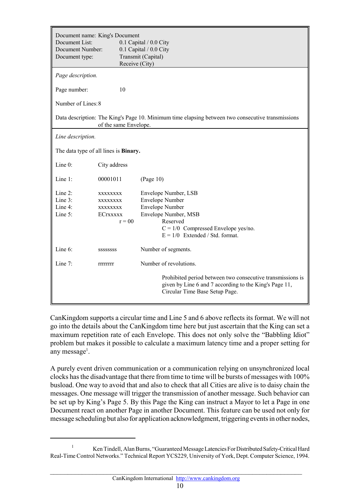| Document List:<br>Document Number:<br>Document type: | Document name: King's Document<br>0.1 Capital / 0.0 City<br>0.1 Capital / 0.0 City<br>Transmit (Capital)<br>Receive (City) |                                                                                                                                                                                            |
|------------------------------------------------------|----------------------------------------------------------------------------------------------------------------------------|--------------------------------------------------------------------------------------------------------------------------------------------------------------------------------------------|
| Page description.                                    |                                                                                                                            |                                                                                                                                                                                            |
| Page number:                                         | 10                                                                                                                         |                                                                                                                                                                                            |
| Number of Lines: 8                                   |                                                                                                                            |                                                                                                                                                                                            |
|                                                      | of the same Envelope.                                                                                                      | Data description: The King's Page 10. Minimum time elapsing between two consecutive transmissions                                                                                          |
| Line description.                                    |                                                                                                                            |                                                                                                                                                                                            |
| The data type of all lines is <b>Binary.</b>         |                                                                                                                            |                                                                                                                                                                                            |
| Line 0:                                              | City address                                                                                                               |                                                                                                                                                                                            |
| Line $1$ :                                           | 00001011                                                                                                                   | (Page 10)                                                                                                                                                                                  |
| Line $2$ :<br>Line $3$ :<br>Line $4$ :<br>Line 5:    | XXXXXXXX<br>XXXXXXXX<br>XXXXXXXX<br><b>ECTXXXXX</b><br>$r = 00$                                                            | Envelope Number, LSB<br><b>Envelope Number</b><br><b>Envelope Number</b><br>Envelope Number, MSB<br>Reserved<br>$C = 1/0$ Compressed Envelope yes/no.<br>$E = 1/0$ Extended / Std. format. |
| Line 6:                                              | SSSSSSSS                                                                                                                   | Number of segments.                                                                                                                                                                        |
| Line $7$ :                                           | <b>TITTITITI</b>                                                                                                           | Number of revolutions.                                                                                                                                                                     |
|                                                      |                                                                                                                            | Prohibited period between two consecutive transmissions is<br>given by Line 6 and 7 according to the King's Page 11,<br>Circular Time Base Setup Page.                                     |

CanKingdom supports a circular time and Line 5 and 6 above reflects its format. We will not go into the details about the CanKingdom time here but just ascertain that the King can set a maximum repetition rate of each Envelope. This does not only solve the "Babbling Idiot" problem but makes it possible to calculate a maximum latency time and a proper setting for any message<sup>1</sup>.

A purely event driven communication or a communication relying on unsynchronized local clocks has the disadvantage that there from time to time will be bursts of messages with 100% busload. One way to avoid that and also to check that all Cities are alive is to daisy chain the messages. One message will trigger the transmission of another message. Such behavior can be set up by King's Page 5. By this Page the King can instruct a Mayor to let a Page in one Document react on another Page in another Document. This feature can be used not only for message scheduling but also for application acknowledgment, triggering events in other nodes,

<sup>&</sup>lt;sup>1</sup> Ken Tindell, Alan Burns, "Guaranteed Message Latencies For Distributed Safety-Critical Hard Real-Time Control Networks." Technical Report YCS229, University of York, Dept. Computer Science, 1994.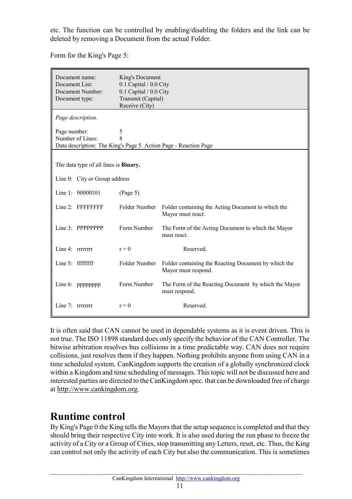etc. The function can be controlled by enabling/disabling the folders and the link can be deleted by removing a Document from the actual Folder.

Document name: King's Document Document List: 0.1 Capital / 0.0 City Document Number: 0.1 Capital / 0.0 City Document type: Transmit (Capital) Receive (City) *Page description.* Page number: 5 Number of Lines: 8 Data description: The King's Page 5. Action Page - Reaction Page The data type of all lines is **Binary.** Line 0: City or Group address Line 1: 00000101 (Page 5) Line 2: FFFFFFFF Folder Number Folder containing the Acting Document to which the Mayor must react. Line 3: PPPPPPPP Form Number The Form of the Acting Document to which the Mayor must react. Line 4:  $r = 0$  Reserved. Line 5: ffffffff Folder Number Folder containing the Reacting Document by which the Mayor must respond. Line 6: pppppppp Form Number The Form of the Reacting Document by which the Mayor must respond. Line 7:  $r = 0$  Reserved.

Form for the King's Page 5:

It is often said that CAN cannot be used in dependable systems as it is event driven. This is not true. The ISO 11898 standard does only specify the behavior of the CAN Controller. The bitwise arbitration resolves bus collisions in a time predictable way. CAN does not require collisions, just resolves them if they happen. Nothing prohibits anyone from using CAN in a time scheduled system. CanKingdom supports the creation of a globally synchronized clock within a Kingdom and time scheduling of messages. This topic will not be discussed here and interested parties are directed to the CanKingdom spec. that can be downloaded free of charge at http://www.cankingdom.org.

# **Runtime control**

By King's Page 0 the King tells the Mayors that the setup sequence is completed and that they should bring their respective City into work. It is also used during the run phase to freeze the activity of a City or a Group of Cities, stop transmitting any Letters, reset, etc. Thus, the King can control not only the activity of each City but also the communication. This is sometimes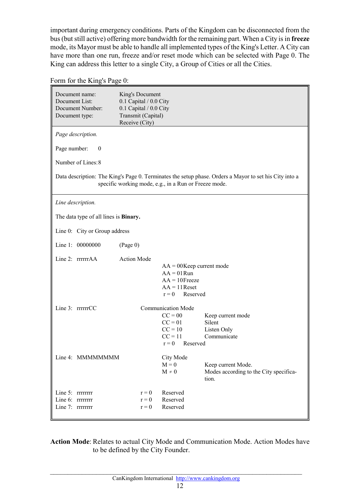important during emergency conditions. Parts of the Kingdom can be disconnected from the bus (but still active) offering more bandwidth for the remaining part. When a City is in **freeze** mode, its Mayor must be able to handle all implemented types of the King's Letter. A City can have more than one run, freeze and/or reset mode which can be selected with Page 0. The King can address this letter to a single City, a Group of Cities or all the Cities.

Form for the King's Page 0:

| Document name:<br>Document List:<br>Document Number:<br>Document type: | King's Document<br>0.1 Capital / 0.0 City<br>0.1 Capital / 0.0 City<br>Transmit (Capital)<br>Receive (City) |                                                                                                         |                                                                                                        |
|------------------------------------------------------------------------|-------------------------------------------------------------------------------------------------------------|---------------------------------------------------------------------------------------------------------|--------------------------------------------------------------------------------------------------------|
| Page description.                                                      |                                                                                                             |                                                                                                         |                                                                                                        |
| Page number:<br>$\overline{0}$                                         |                                                                                                             |                                                                                                         |                                                                                                        |
| Number of Lines: 8                                                     |                                                                                                             |                                                                                                         |                                                                                                        |
|                                                                        |                                                                                                             | specific working mode, e.g., in a Run or Freeze mode.                                                   | Data description: The King's Page 0. Terminates the setup phase. Orders a Mayor to set his City into a |
| Line description.                                                      |                                                                                                             |                                                                                                         |                                                                                                        |
| The data type of all lines is <b>Binary.</b>                           |                                                                                                             |                                                                                                         |                                                                                                        |
| Line 0: City or Group address                                          |                                                                                                             |                                                                                                         |                                                                                                        |
| Line 1: 00000000                                                       | (Page 0)                                                                                                    |                                                                                                         |                                                                                                        |
| Line 2: rrrrrrAA                                                       | <b>Action Mode</b>                                                                                          | $AA = 00$ Keep current mode<br>$AA = 01$ Run<br>$AA = 10$ Freeze<br>$AA = 11$ Reset<br>$r = 0$ Reserved |                                                                                                        |
| Line 3: rrrrrrCC                                                       |                                                                                                             | <b>Communication Mode</b><br>$CC = 00$<br>$CC = 01$<br>$CC = 10$<br>$CC = 11$<br>$r = 0$<br>Reserved    | Keep current mode<br>Silent<br>Listen Only<br>Communicate                                              |
| Line 4: MMMMMMMM                                                       |                                                                                                             | City Mode<br>$M = 0$<br>$M \neq 0$                                                                      | Keep current Mode.<br>Modes according to the City specifica-<br>tion.                                  |
| Line 5: rrrrrrrr<br>Line 6: rrrrrrrr<br>Line 7: rrrrrrrr               | $r = 0$<br>$r = 0$<br>$r = 0$                                                                               | Reserved<br>Reserved<br>Reserved                                                                        |                                                                                                        |

**Action Mode**: Relates to actual City Mode and Communication Mode. Action Modes have to be defined by the City Founder.